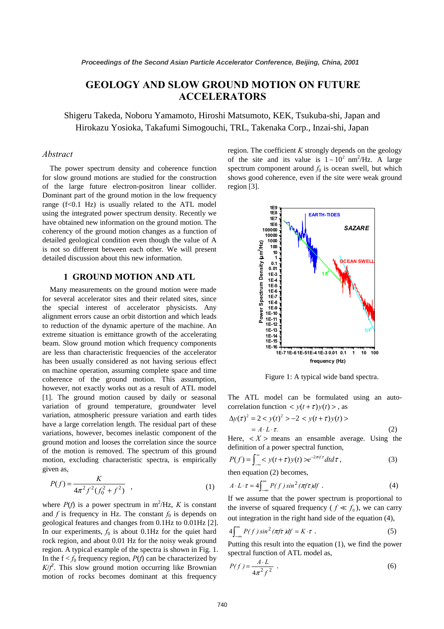# **GEOLOGY AND SLOW GROUND MOTION ON FUTURE ACCELERATORS**

Shigeru Takeda, Noboru Yamamoto, Hiroshi Matsumoto, KEK, Tsukuba-shi, Japan and Hirokazu Yosioka, Takafumi Simogouchi, TRL, Takenaka Corp., Inzai-shi, Japan

#### *Abstract*

The power spectrum density and coherence function for slow ground motions are studied for the construction of the large future electron-positron linear collider. Dominant part of the ground motion in the low frequency range  $(f<0.1$  Hz) is usually related to the ATL model using the integrated power spectrum density. Recently we have obtained new information on the ground motion. The coherency of the ground motion changes as a function of detailed geological condition even though the value of A is not so different between each other. We will present detailed discussion about this new information.

#### **1 GROUND MOTION AND ATL**

Many measurements on the ground motion were made for several accelerator sites and their related sites, since the special interest of accelerator physicists. Any alignment errors cause an orbit distortion and which leads to reduction of the dynamic aperture of the machine. An extreme situation is emittance growth of the accelerating beam. Slow ground motion which frequency components are less than characteristic frequencies of the accelerator has been usually considered as not having serious effect on machine operation, assuming complete space and time coherence of the ground motion. This assumption, however, not exactly works out as a result of ATL model [1]. The ground motion caused by daily or seasonal variation of ground temperature, groundwater level variation, atmospheric pressure variation and earth tides have a large correlation length. The residual part of these variations, however, becomes inelastic component of the ground motion and looses the correlation since the source of the motion is removed. The spectrum of this ground motion, excluding characteristic spectra, is empirically given as,

$$
P(f) = \frac{K}{4\pi^2 f^2 (f_0^2 + f^2)}
$$
\n(1)

where  $P(f)$  is a power spectrum in m<sup>2</sup>/Hz, *K* is constant and  $f$  is frequency in Hz. The constant  $f_0$  is depends on geological features and changes from 0.1Hz to 0.01Hz [2]. In our experiments,  $f_0$  is about 0.1Hz for the quiet hard rock region, and about 0.01 Hz for the noisy weak ground region. A typical example of the spectra is shown in Fig. 1. In the  $f < f_0$  frequency region,  $P(f)$  can be characterized by  $K/f<sup>2</sup>$ . This slow ground motion occurring like Brownian motion of rocks becomes dominant at this frequency

region. The coefficient *K* strongly depends on the geology of the site and its value is  $1 \sim 10^2$  nm<sup>2</sup>/Hz. A large spectrum component around  $f_0$  is ocean swell, but which shows good coherence, even if the site were weak ground region [3].



Figure 1: A typical wide band spectra.

The ATL model can be formulated using an autocorrelation function  $\langle y(t+\tau)y(t) \rangle$ , as

$$
\Delta y(\tau)^{2} = 2 < y(t)^{2} > -2 < y(t+\tau)y(t) >
$$
  
=  $A \cdot L \cdot \tau$ . (2)

Here,  $\langle X \rangle$  means an ensamble average. Using the definition of a power spectral function,

$$
P(f) = \int_{-\infty}^{\infty} \langle y(t+\tau)y(t) \rangle e^{-2\pi i \tau} dt d\tau, \tag{3}
$$

then equation (2) becomes,

$$
A \cdot L \cdot \tau = 4 \int_{-\infty}^{\infty} P(f) \sin^2(\pi f \tau) df \tag{4}
$$

If we assume that the power spectrum is proportional to the inverse of squared frequency ( $f \ll f_0$ ), we can carry out integration in the right hand side of the equation (4),

$$
4\int_{-\infty}^{\infty} P(f) \sin^2(\pi f \tau) df = K \cdot \tau . \tag{5}
$$

Putting this result into the equation (1), we find the power spectral function of ATL model as,

$$
P(f) = \frac{A \cdot L}{4\pi^2 f^2} \tag{6}
$$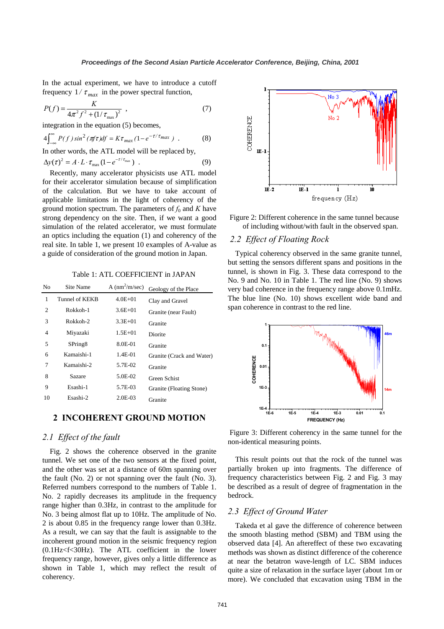In the actual experiment, we have to introduce a cutoff frequency  $1/\tau_{max}$  in the power spectral function,

$$
P(f) = \frac{K}{4\pi^2 f^2 + (1/\tau_{\text{max}})^2} \tag{7}
$$

integration in the equation (5) becomes,

$$
4\int_{-\infty}^{\infty} P(f) \sin^2(\pi f \tau) df = K \tau_{max} (1 - e^{-\tau/\tau_{max}}) \quad . \tag{8}
$$

In other words, the ATL model will be replaced by,

$$
\Delta y(\tau)^2 = A \cdot L \cdot \tau_{\text{max}} \left( 1 - e^{-\tau/\tau_{\text{max}}} \right) \tag{9}
$$

Recently, many accelerator physicists use ATL model for their accelerator simulation because of simplification of the calculation. But we have to take account of applicable limitations in the light of coherency of the ground motion spectrum. The parameters of  $f_0$  and  $K$  have strong dependency on the site. Then, if we want a good simulation of the related accelerator, we must formulate an optics including the equation (1) and coherency of the real site. In table 1, we present 10 examples of A-value as a guide of consideration of the ground motion in Japan.

Table 1: ATL COEFFICIENT in JAPAN

| N <sub>0</sub> | Site Name      | A $\frac{(nm^2)}{m}$ sec) | Geology of the Place      |
|----------------|----------------|---------------------------|---------------------------|
| 1              | Tunnel of KEKB | $4.0E + 01$               | Clay and Gravel           |
| 2              | Rokkoh-1       | $3.6E + 01$               | Granite (near Fault)      |
| 3              | Rokkoh-2       | $3.3E + 01$               | Granite                   |
| 4              | Miyazaki       | $1.5E + 01$               | Diorite                   |
| 5              | SPring8        | 8.0E-01                   | Granite                   |
| 6              | Kamaishi-1     | 1.4E-01                   | Granite (Crack and Water) |
| 7              | Kamaishi-2     | 5.7E-02                   | Granite                   |
| 8              | Sazare         | 5.0E-02                   | Green Schist              |
| 9              | Esashi-1       | 5.7E-03                   | Granite (Floating Stone)  |
| 10             | Esashi-2       | $2.0E-03$                 | Granite                   |

# **2 INCOHERENT GROUND MOTION**

## *2.1 Effect of the fault*

Fig. 2 shows the coherence observed in the granite tunnel. We set one of the two sensors at the fixed point, and the other was set at a distance of 60m spanning over the fault (No. 2) or not spanning over the fault (No. 3). Referred numbers correspond to the numbers of Table 1. No. 2 rapidly decreases its amplitude in the frequency range higher than 0.3Hz, in contrast to the amplitude for No. 3 being almost flat up to 10Hz. The amplitude of No. 2 is about 0.85 in the frequency range lower than 0.3Hz. As a result, we can say that the fault is assignable to the incoherent ground motion in the seismic frequency region (0.1Hz<f<30Hz). The ATL coefficient in the lower frequency range, however, gives only a little difference as shown in Table 1, which may reflect the result of coherency.



Figure 2: Different coherence in the same tunnel because of including without/with fault in the observed span.

### *2.2 Effect of Floating Rock*

Typical coherency observed in the same granite tunnel, but setting the sensors different spans and positions in the tunnel, is shown in Fig. 3. These data correspond to the No. 9 and No. 10 in Table 1. The red line (No. 9) shows very bad coherence in the frequency range above 0.1mHz. The blue line (No. 10) shows excellent wide band and span coherence in contrast to the red line.



Figure 3: Different coherency in the same tunnel for the non-identical measuring points.

This result points out that the rock of the tunnel was partially broken up into fragments. The difference of frequency characteristics between Fig. 2 and Fig. 3 may be described as a result of degree of fragmentation in the bedrock.

## *2.3 Effect of Ground Water*

Takeda et al gave the difference of coherence between the smooth blasting method (SBM) and TBM using the observed data [4]. An aftereffect of these two excavating methods was shown as distinct difference of the coherence at near the betatron wave-length of LC. SBM induces quite a size of relaxation in the surface layer (about 1m or more). We concluded that excavation using TBM in the